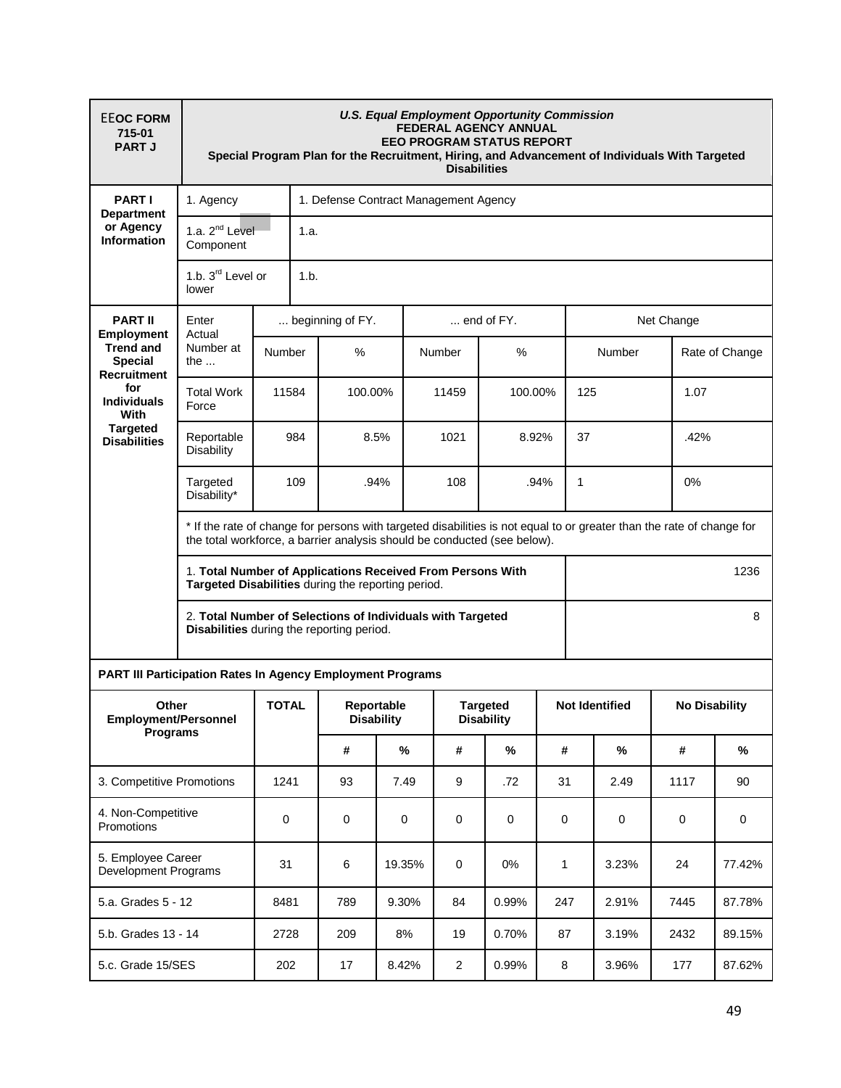| <b>EEOC FORM</b><br>715-01<br><b>PART J</b>                                                                                                                                                       | <b>U.S. Equal Employment Opportunity Commission</b><br>FEDERAL AGENCY ANNUAL<br><b>EEO PROGRAM STATUS REPORT</b><br>Special Program Plan for the Recruitment, Hiring, and Advancement of Individuals With Targeted<br><b>Disabilities</b> |                               |                                       |                          |                |                                      |      |                       |      |                      |  |  |  |
|---------------------------------------------------------------------------------------------------------------------------------------------------------------------------------------------------|-------------------------------------------------------------------------------------------------------------------------------------------------------------------------------------------------------------------------------------------|-------------------------------|---------------------------------------|--------------------------|----------------|--------------------------------------|------|-----------------------|------|----------------------|--|--|--|
| <b>PART I</b><br><b>Department</b><br>or Agency<br><b>Information</b>                                                                                                                             | 1. Agency                                                                                                                                                                                                                                 |                               | 1. Defense Contract Management Agency |                          |                |                                      |      |                       |      |                      |  |  |  |
|                                                                                                                                                                                                   | 1.a. 2 <sup>nd</sup> Level<br>Component                                                                                                                                                                                                   |                               | 1.a.                                  |                          |                |                                      |      |                       |      |                      |  |  |  |
|                                                                                                                                                                                                   | lower                                                                                                                                                                                                                                     | 1.b. 3 <sup>rd</sup> Level or |                                       | 1.b.                     |                |                                      |      |                       |      |                      |  |  |  |
| <b>PART II</b><br><b>Employment</b><br><b>Trend and</b><br><b>Special</b><br><b>Recruitment</b><br>for<br><b>Individuals</b><br>With<br><b>Targeted</b><br><b>Disabilities</b>                    | Enter<br>Actual<br>Number at<br>the $\dots$                                                                                                                                                                                               |                               | beginning of FY.                      |                          |                | $\dots$ end of FY.                   |      | Net Change            |      |                      |  |  |  |
|                                                                                                                                                                                                   |                                                                                                                                                                                                                                           | Number                        | %                                     | Number                   |                | $\%$                                 |      | Number                |      | Rate of Change       |  |  |  |
|                                                                                                                                                                                                   | <b>Total Work</b><br>Force                                                                                                                                                                                                                | 11584                         | 100.00%                               |                          | 11459          | 100.00%                              |      | 125                   |      | 1.07                 |  |  |  |
|                                                                                                                                                                                                   | Reportable<br><b>Disability</b>                                                                                                                                                                                                           | 984                           |                                       | 8.5%                     | 1021<br>8.92%  |                                      |      | 37                    |      | .42%                 |  |  |  |
|                                                                                                                                                                                                   | Targeted<br>Disability*                                                                                                                                                                                                                   | 109                           |                                       | .94%                     | 108<br>.94%    |                                      | 1    |                       |      | 0%                   |  |  |  |
| * If the rate of change for persons with targeted disabilities is not equal to or greater than the rate of change for<br>the total workforce, a barrier analysis should be conducted (see below). |                                                                                                                                                                                                                                           |                               |                                       |                          |                |                                      |      |                       |      |                      |  |  |  |
| 1. Total Number of Applications Received From Persons With<br>Targeted Disabilities during the reporting period.                                                                                  |                                                                                                                                                                                                                                           |                               |                                       |                          |                |                                      | 1236 |                       |      |                      |  |  |  |
|                                                                                                                                                                                                   | 2. Total Number of Selections of Individuals with Targeted<br>Disabilities during the reporting period.                                                                                                                                   |                               |                                       |                          |                |                                      |      |                       | 8    |                      |  |  |  |
| <b>PART III Participation Rates In Agency Employment Programs</b>                                                                                                                                 |                                                                                                                                                                                                                                           |                               |                                       |                          |                |                                      |      |                       |      |                      |  |  |  |
| Other<br>Employment/Personnel<br><b>Programs</b>                                                                                                                                                  |                                                                                                                                                                                                                                           | <b>TOTAL</b>                  |                                       | Reportable<br>Disability |                | <b>Targeted</b><br><b>Disability</b> |      | <b>Not Identified</b> |      | <b>No Disability</b> |  |  |  |
|                                                                                                                                                                                                   |                                                                                                                                                                                                                                           |                               | #                                     | $\%$                     | #              | $\%$                                 | #    | $\%$                  | #    | $\%$                 |  |  |  |
| 3. Competitive Promotions                                                                                                                                                                         |                                                                                                                                                                                                                                           | 1241                          | 93                                    | 7.49                     | 9              | .72                                  | 31   | 2.49                  | 1117 | 90                   |  |  |  |
| 4. Non-Competitive<br>Promotions                                                                                                                                                                  |                                                                                                                                                                                                                                           | 0                             | 0                                     | $\mathbf 0$              | 0              | 0                                    | 0    | 0                     | 0    | 0                    |  |  |  |
| 5. Employee Career<br>Development Programs                                                                                                                                                        |                                                                                                                                                                                                                                           | 31                            | 6                                     | 19.35%                   | $\pmb{0}$      | 0%                                   | 1    | 3.23%                 | 24   | 77.42%               |  |  |  |
| 5.a. Grades 5 - 12                                                                                                                                                                                |                                                                                                                                                                                                                                           | 8481                          | 789                                   | 9.30%                    | 84             | 0.99%                                | 247  | 2.91%                 | 7445 | 87.78%               |  |  |  |
| 5.b. Grades 13 - 14                                                                                                                                                                               |                                                                                                                                                                                                                                           | 2728                          | 209                                   | 8%                       | 19             | 0.70%                                | 87   | 3.19%                 | 2432 | 89.15%               |  |  |  |
| 5.c. Grade 15/SES                                                                                                                                                                                 |                                                                                                                                                                                                                                           | 202                           | 17                                    | 8.42%                    | $\overline{2}$ | 0.99%                                | 8    | 3.96%                 | 177  | 87.62%               |  |  |  |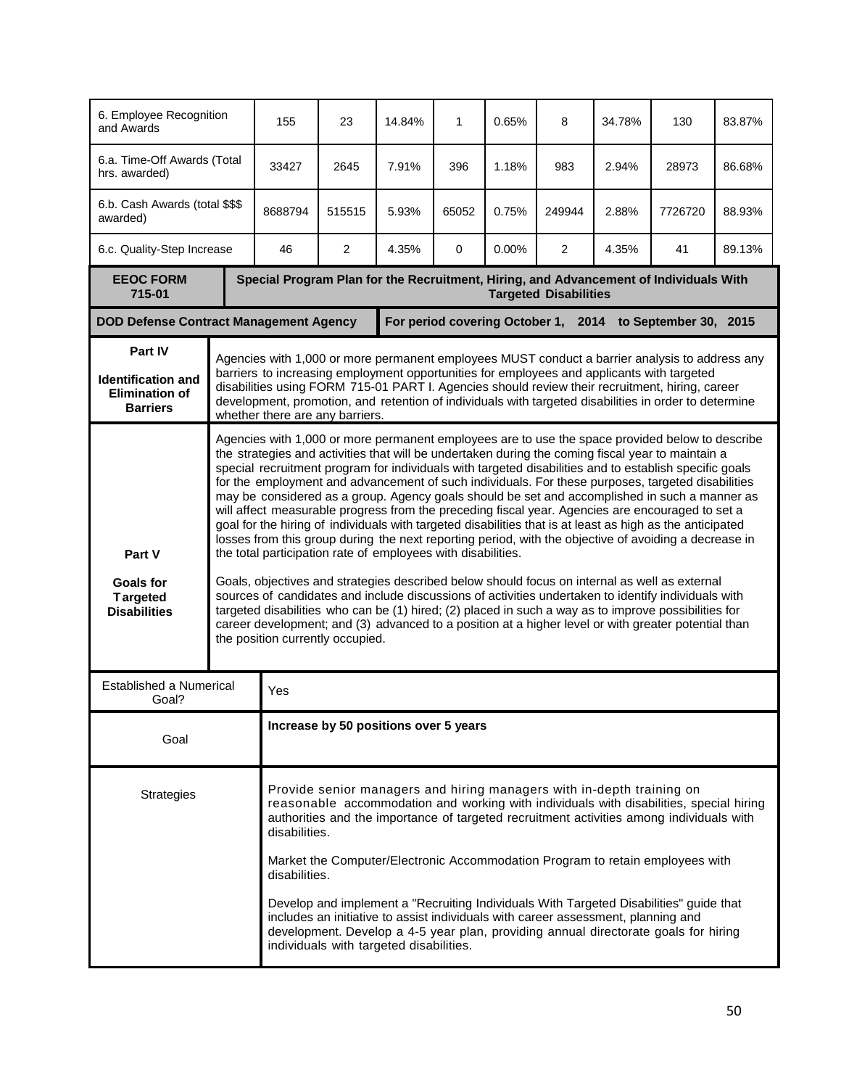| 6. Employee Recognition<br>and Awards                                                                               |                                                                                                                                                                                                                                                                                                                                                                                                                                                                                                                                                                                                                                                                                                                                                                                                                                                                                                                                                                                                                                                                                                                                                                                                                                                                                                                                                                           | 155                                                                                                                                                                                                                                                                                                                                                                                                                                                                                                                                                                                                                                                                                              | 23                                                        | 14.84%                                                                                                                                                                                                                                                                                                                                                                                                   | 1     | 0.65% | 8              | 34.78% | 130     | 83.87% |  |  |
|---------------------------------------------------------------------------------------------------------------------|---------------------------------------------------------------------------------------------------------------------------------------------------------------------------------------------------------------------------------------------------------------------------------------------------------------------------------------------------------------------------------------------------------------------------------------------------------------------------------------------------------------------------------------------------------------------------------------------------------------------------------------------------------------------------------------------------------------------------------------------------------------------------------------------------------------------------------------------------------------------------------------------------------------------------------------------------------------------------------------------------------------------------------------------------------------------------------------------------------------------------------------------------------------------------------------------------------------------------------------------------------------------------------------------------------------------------------------------------------------------------|--------------------------------------------------------------------------------------------------------------------------------------------------------------------------------------------------------------------------------------------------------------------------------------------------------------------------------------------------------------------------------------------------------------------------------------------------------------------------------------------------------------------------------------------------------------------------------------------------------------------------------------------------------------------------------------------------|-----------------------------------------------------------|----------------------------------------------------------------------------------------------------------------------------------------------------------------------------------------------------------------------------------------------------------------------------------------------------------------------------------------------------------------------------------------------------------|-------|-------|----------------|--------|---------|--------|--|--|
| 6.a. Time-Off Awards (Total<br>hrs. awarded)                                                                        |                                                                                                                                                                                                                                                                                                                                                                                                                                                                                                                                                                                                                                                                                                                                                                                                                                                                                                                                                                                                                                                                                                                                                                                                                                                                                                                                                                           | 33427                                                                                                                                                                                                                                                                                                                                                                                                                                                                                                                                                                                                                                                                                            | 2645                                                      | 7.91%                                                                                                                                                                                                                                                                                                                                                                                                    | 396   | 1.18% | 983            | 2.94%  | 28973   | 86.68% |  |  |
| 6.b. Cash Awards (total \$\$\$<br>awarded)                                                                          |                                                                                                                                                                                                                                                                                                                                                                                                                                                                                                                                                                                                                                                                                                                                                                                                                                                                                                                                                                                                                                                                                                                                                                                                                                                                                                                                                                           | 8688794                                                                                                                                                                                                                                                                                                                                                                                                                                                                                                                                                                                                                                                                                          | 515515                                                    | 5.93%                                                                                                                                                                                                                                                                                                                                                                                                    | 65052 | 0.75% | 249944         | 2.88%  | 7726720 | 88.93% |  |  |
| 6.c. Quality-Step Increase                                                                                          |                                                                                                                                                                                                                                                                                                                                                                                                                                                                                                                                                                                                                                                                                                                                                                                                                                                                                                                                                                                                                                                                                                                                                                                                                                                                                                                                                                           | 46                                                                                                                                                                                                                                                                                                                                                                                                                                                                                                                                                                                                                                                                                               | $\overline{2}$                                            | 4.35%                                                                                                                                                                                                                                                                                                                                                                                                    | 0     | 0.00% | $\overline{2}$ | 4.35%  | 41      | 89.13% |  |  |
| <b>EEOC FORM</b><br>715-01                                                                                          |                                                                                                                                                                                                                                                                                                                                                                                                                                                                                                                                                                                                                                                                                                                                                                                                                                                                                                                                                                                                                                                                                                                                                                                                                                                                                                                                                                           | Special Program Plan for the Recruitment, Hiring, and Advancement of Individuals With<br><b>Targeted Disabilities</b>                                                                                                                                                                                                                                                                                                                                                                                                                                                                                                                                                                            |                                                           |                                                                                                                                                                                                                                                                                                                                                                                                          |       |       |                |        |         |        |  |  |
| <b>DOD Defense Contract Management Agency</b>                                                                       |                                                                                                                                                                                                                                                                                                                                                                                                                                                                                                                                                                                                                                                                                                                                                                                                                                                                                                                                                                                                                                                                                                                                                                                                                                                                                                                                                                           |                                                                                                                                                                                                                                                                                                                                                                                                                                                                                                                                                                                                                                                                                                  | For period covering October 1, 2014 to September 30, 2015 |                                                                                                                                                                                                                                                                                                                                                                                                          |       |       |                |        |         |        |  |  |
| Part IV<br><b>Identification and</b><br><b>Elimination of</b><br><b>Barriers</b><br>whether there are any barriers. |                                                                                                                                                                                                                                                                                                                                                                                                                                                                                                                                                                                                                                                                                                                                                                                                                                                                                                                                                                                                                                                                                                                                                                                                                                                                                                                                                                           |                                                                                                                                                                                                                                                                                                                                                                                                                                                                                                                                                                                                                                                                                                  |                                                           | Agencies with 1,000 or more permanent employees MUST conduct a barrier analysis to address any<br>barriers to increasing employment opportunities for employees and applicants with targeted<br>disabilities using FORM 715-01 PART I. Agencies should review their recruitment, hiring, career<br>development, promotion, and retention of individuals with targeted disabilities in order to determine |       |       |                |        |         |        |  |  |
| Part V<br><b>Goals for</b><br><b>Targeted</b><br><b>Disabilities</b>                                                | Agencies with 1,000 or more permanent employees are to use the space provided below to describe<br>the strategies and activities that will be undertaken during the coming fiscal year to maintain a<br>special recruitment program for individuals with targeted disabilities and to establish specific goals<br>for the employment and advancement of such individuals. For these purposes, targeted disabilities<br>may be considered as a group. Agency goals should be set and accomplished in such a manner as<br>will affect measurable progress from the preceding fiscal year. Agencies are encouraged to set a<br>goal for the hiring of individuals with targeted disabilities that is at least as high as the anticipated<br>losses from this group during the next reporting period, with the objective of avoiding a decrease in<br>the total participation rate of employees with disabilities.<br>Goals, objectives and strategies described below should focus on internal as well as external<br>sources of candidates and include discussions of activities undertaken to identify individuals with<br>targeted disabilities who can be (1) hired; (2) placed in such a way as to improve possibilities for<br>career development; and (3) advanced to a position at a higher level or with greater potential than<br>the position currently occupied. |                                                                                                                                                                                                                                                                                                                                                                                                                                                                                                                                                                                                                                                                                                  |                                                           |                                                                                                                                                                                                                                                                                                                                                                                                          |       |       |                |        |         |        |  |  |
| <b>Established a Numerical</b><br>Goal?                                                                             |                                                                                                                                                                                                                                                                                                                                                                                                                                                                                                                                                                                                                                                                                                                                                                                                                                                                                                                                                                                                                                                                                                                                                                                                                                                                                                                                                                           | Yes                                                                                                                                                                                                                                                                                                                                                                                                                                                                                                                                                                                                                                                                                              |                                                           |                                                                                                                                                                                                                                                                                                                                                                                                          |       |       |                |        |         |        |  |  |
| Goal                                                                                                                |                                                                                                                                                                                                                                                                                                                                                                                                                                                                                                                                                                                                                                                                                                                                                                                                                                                                                                                                                                                                                                                                                                                                                                                                                                                                                                                                                                           | Increase by 50 positions over 5 years                                                                                                                                                                                                                                                                                                                                                                                                                                                                                                                                                                                                                                                            |                                                           |                                                                                                                                                                                                                                                                                                                                                                                                          |       |       |                |        |         |        |  |  |
| <b>Strategies</b>                                                                                                   |                                                                                                                                                                                                                                                                                                                                                                                                                                                                                                                                                                                                                                                                                                                                                                                                                                                                                                                                                                                                                                                                                                                                                                                                                                                                                                                                                                           | Provide senior managers and hiring managers with in-depth training on<br>reasonable accommodation and working with individuals with disabilities, special hiring<br>authorities and the importance of targeted recruitment activities among individuals with<br>disabilities.<br>Market the Computer/Electronic Accommodation Program to retain employees with<br>disabilities.<br>Develop and implement a "Recruiting Individuals With Targeted Disabilities" guide that<br>includes an initiative to assist individuals with career assessment, planning and<br>development. Develop a 4-5 year plan, providing annual directorate goals for hiring<br>individuals with targeted disabilities. |                                                           |                                                                                                                                                                                                                                                                                                                                                                                                          |       |       |                |        |         |        |  |  |